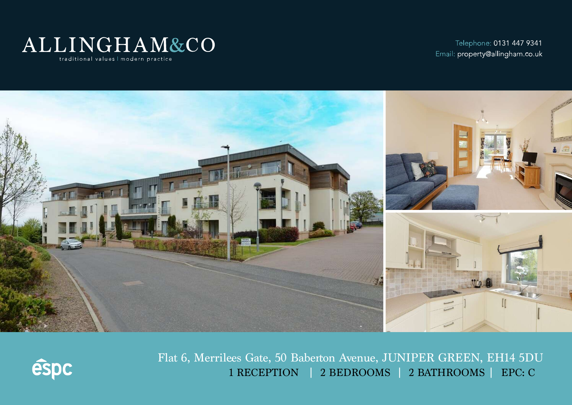

Telephone: 0131 447 9341 Email: property@allingham.co.uk





Flat 6, Merrilees Gate, 50 Baberton Avenue, JUNIPER GREEN, EH14 5DU 1 RECEPTION | 2 BEDROOMS | 2 BATHROOMS | EPC: C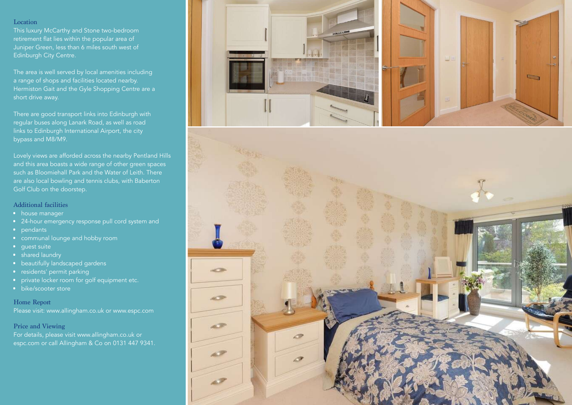#### Location

This luxury McCarthy and Stone two-bedroom retirement flat lies within the popular area of Juniper Green, less than 6 miles south west of Edinburgh City Centre.

The area is well served by local amenities including a range of shops and facilities located nearby. Hermiston Gait and the Gyle Shopping Centre are a short drive away.

There are good transport links into Edinburgh with regular buses along Lanark Road, as well as road links to Edinburgh International Airport, the city bypass and M8/M9.

Lovely views are afforded across the nearby Pentland Hills and this area boasts a wide range of other green spaces such as Bloomiehall Park and the Water of Leith. There are also local bowling and tennis clubs, with Baberton

## Additional facilities

- house manager
- 24-hour emergency response pull cord system and
- pendants
- communal lounge and hobby room
- guest suite
- shared laundry
- beautifully landscaped gardens
- residents' permit parking
- private locker room for golf equipment etc.
- bike/scooter store

Home Report Please visit: www.allingham.co.uk or www.espc.com

Price and Viewing

For details, please visit www.allingham.co.uk or espc.com or call Allingham & Co on 0131 447 9341.



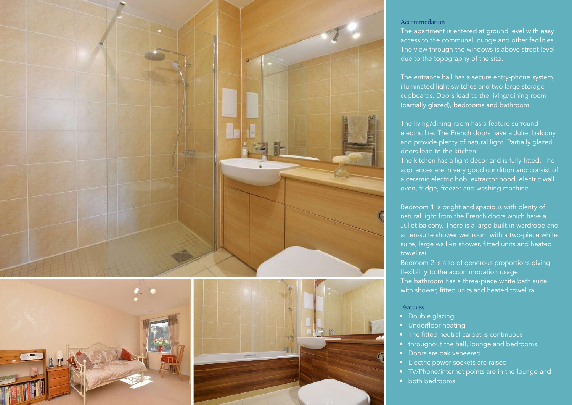

### Accommodation

The apartment is entered at ground level with easy access to the communal lounge and other facilities. The view through the windows is above street level due to the topography of the site.

The entrance hall has a secure entry-phone system, illuminated light switches and two large storage cupboards. Doors lead to the living/dining room (partially glazed), bedrooms and bathroom.

The living/dining room has a feature surround electric fire. The French doors have a Juliet balcony and provide plenty of natural light. Partially glazed doors lead to the kitchen.

The kitchen has a light décor and is fully fitted. The appliances are in very good condition and consist of a ceramic electric hob, extractor hood, electric wall oven, fridge, freezer and washing machine.

Bedroom 1 is bright and spacious with plenty of natural light from the French doors which have a Juliet balcony. There is a large built-in wardrobe and an en-suite shower wet room with a two-piece white suite, large walk-in shower, fitted units and heated towel rail.

Bedroom 2 is also of generous proportions giving flexibility to the accommodation usage. The bathroom has a three-piece white bath suite with shower, fitted units and heated towel rail.

# Features

- Double glazing
- Underfloor heating
- The fitted neutral carpet is continuous
- throughout the hall, lounge and bedrooms.
- Doors are oak veneered.
- Electric power sockets are raised
- TV/Phone/internet points are in the lounge and
- both bedrooms.